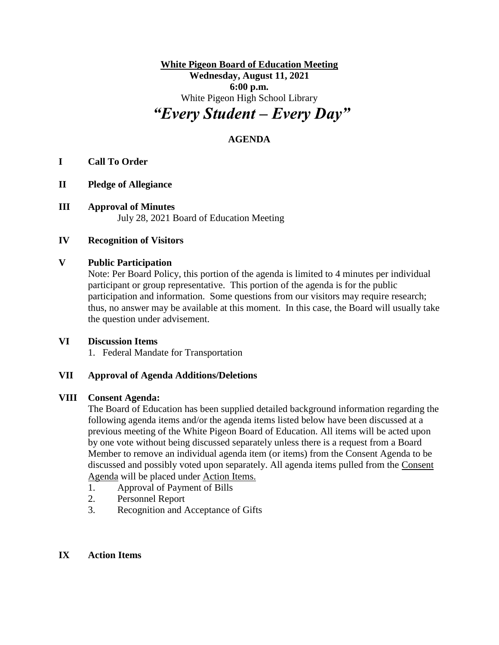**White Pigeon Board of Education Meeting Wednesday, August 11, 2021 6:00 p.m.** White Pigeon High School Library *"Every Student – Every Day"*

# **AGENDA**

# **I Call To Order**

- **II Pledge of Allegiance**
- **III Approval of Minutes** July 28, 2021 Board of Education Meeting

#### **IV Recognition of Visitors**

#### **V Public Participation**

Note: Per Board Policy, this portion of the agenda is limited to 4 minutes per individual participant or group representative. This portion of the agenda is for the public participation and information. Some questions from our visitors may require research; thus, no answer may be available at this moment. In this case, the Board will usually take the question under advisement.

#### **VI Discussion Items**

1. Federal Mandate for Transportation

#### **VII Approval of Agenda Additions/Deletions**

#### **VIII Consent Agenda:**

The Board of Education has been supplied detailed background information regarding the following agenda items and/or the agenda items listed below have been discussed at a previous meeting of the White Pigeon Board of Education. All items will be acted upon by one vote without being discussed separately unless there is a request from a Board Member to remove an individual agenda item (or items) from the Consent Agenda to be discussed and possibly voted upon separately. All agenda items pulled from the Consent Agenda will be placed under Action Items.

- 1. Approval of Payment of Bills
- 2. Personnel Report
- 3. Recognition and Acceptance of Gifts

#### **IX Action Items**